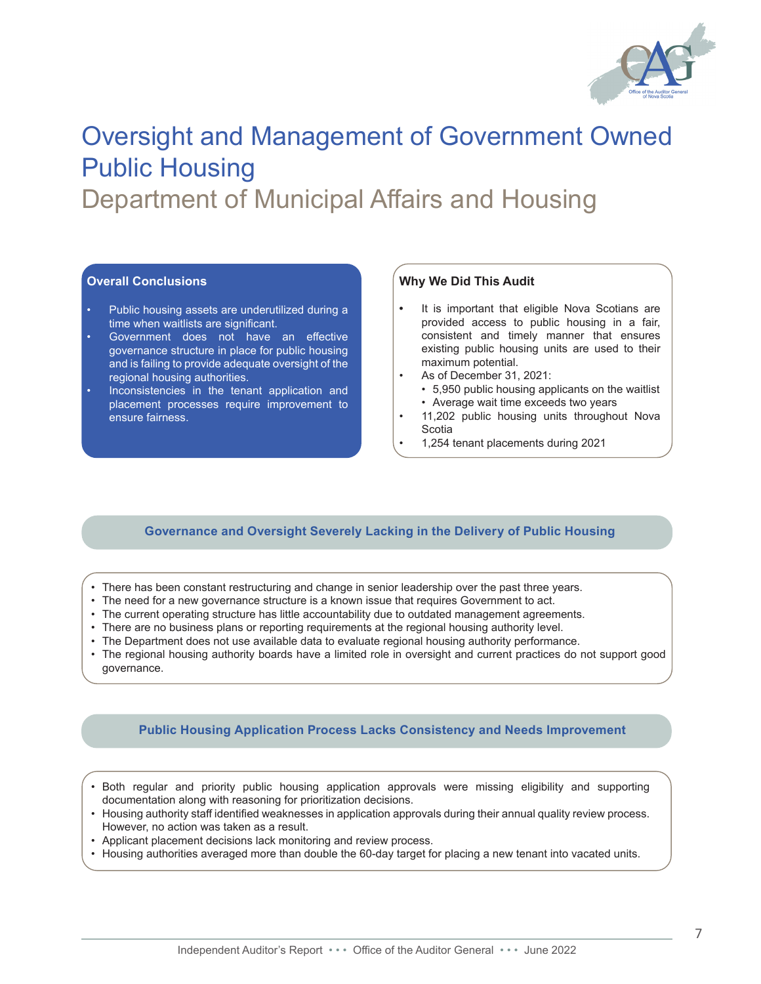

# Oversight and Management of Government Owned Public Housing

Department of Municipal Affairs and Housing

### **Overall Conclusions**

- Public housing assets are underutilized during a time when waitlists are significant.
- Government does not have an effective governance structure in place for public housing and is failing to provide adequate oversight of the regional housing authorities.
- Inconsistencies in the tenant application and placement processes require improvement to ensure fairness.

#### **Why We Did This Audit**

- **•** It is important that eligible Nova Scotians are provided access to public housing in a fair, consistent and timely manner that ensures existing public housing units are used to their maximum potential.
- As of December 31, 2021:
	- 5,950 public housing applicants on the waitlist
	- Average wait time exceeds two years
- 11,202 public housing units throughout Nova Scotia
- 1,254 tenant placements during 2021

### **Governance and Oversight Severely Lacking in the Delivery of Public Housing**

- There has been constant restructuring and change in senior leadership over the past three years.
- The need for a new governance structure is a known issue that requires Government to act.
- The current operating structure has little accountability due to outdated management agreements.
- There are no business plans or reporting requirements at the regional housing authority level.
- The Department does not use available data to evaluate regional housing authority performance.
- The regional housing authority boards have a limited role in oversight and current practices do not support good governance.

#### **Public Housing Application Process Lacks Consistency and Needs Improvement**

- Both regular and priority public housing application approvals were missing eligibility and supporting documentation along with reasoning for prioritization decisions.
- Housing authority staff identified weaknesses in application approvals during their annual quality review process. However, no action was taken as a result.
- Applicant placement decisions lack monitoring and review process.
- Housing authorities averaged more than double the 60-day target for placing a new tenant into vacated units.